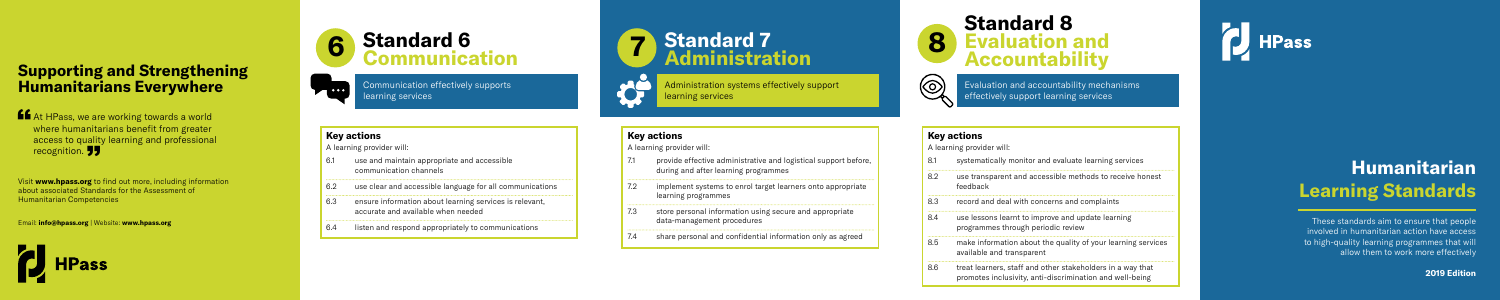## **Humanitarian Learning Standards**

These standards aim to ensure that people involved in humanitarian action have access to high-quality learning programmes that will allow them to work more effectively

**2019 Edition**

#### **Key actions**

A learning provider will:

implement systems to enrol target learners onto appropriate learning programmes

share personal and confidential information only as agreed

- 6.1 use and maintain appropriate and accessible communication channels
- 6.2 use clear and accessible language for all communications
- 6.3 ensure information about learning services is relevant, accurate and available when needed
- 6.4 listen and respond appropriately to communications
- provide effective administrative and logistical support before, during and after learning programmes
- 
- store personal information using secure and appropriate data-management procedures

#### **Key actions**

A learning provider will:

- 8.1 systematically monitor and evaluate learning services
- 8.2 use transparent and accessible methods to receive honest feedback
- 8.3 record and deal with concerns and complaints
- use lessons learnt to improve and update learning programmes through periodic review
- 8.5 make information about the quality of your learning services available and transparent
- treat learners, staff and other stakeholders in a way that promotes inclusivity, anti-discrimination and well-being

## **HPass**

Administration systems effectively support learning services

#### **Key actions**

A learning provider will:

Visit **www.hpass.org** to find out more, including information about associated Standards for the Assessment of recognition.<br>
Wisit www.hpass.org to find of<br>
Rumanitarian Competencies<br> **Humanitarian Competencies** 



## **Standard 7 Administration**

#### **6 Standard 6 Communication**

Communication effectively supports learning services





Evaluation and accountability mechanisms effectively support learning services

### **Supporting and Strengthening Humanitarians Everywhere**

**At HPass, we are working towards a world<br>where humanitarians benefit from greater<br>access to quality learning and prefections** where humanitarians benefit from greater access to quality learning and professional recognition. **JJ** 

Email: **info@hpass.org** | Website: **www.hpass.org**